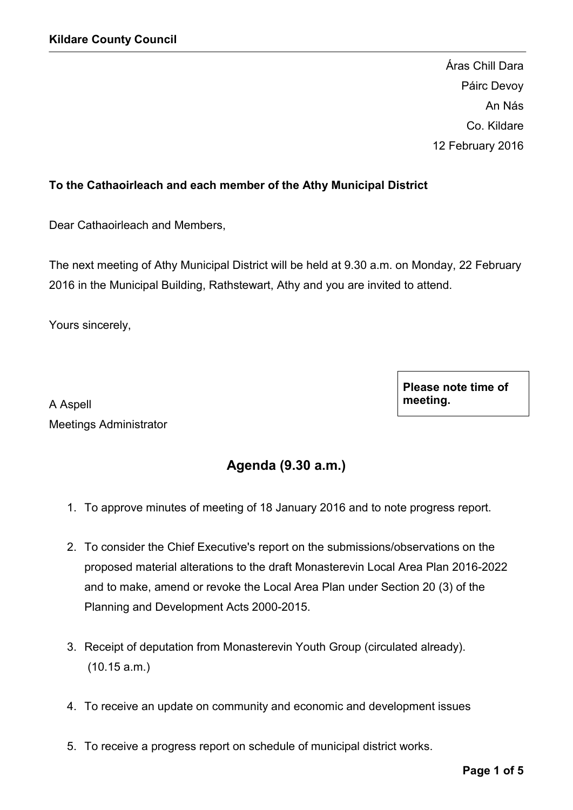Áras Chill Dara Páirc Devoy An Nás Co. Kildare 12 February 2016

## To the Cathaoirleach and each member of the Athy Municipal District

Dear Cathaoirleach and Members,

The next meeting of Athy Municipal District will be held at 9.30 a.m. on Monday, 22 February 2016 in the Municipal Building, Rathstewart, Athy and you are invited to attend.

Yours sincerely,

A Aspell Meetings Administrator Please note time of meeting.

# Agenda (9.30 a.m.)

- 1. To approve minutes of meeting of 18 January 2016 and to note progress report.
- 2. To consider the Chief Executive's report on the submissions/observations on the proposed material alterations to the draft Monasterevin Local Area Plan 2016-2022 and to make, amend or revoke the Local Area Plan under Section 20 (3) of the Planning and Development Acts 2000-2015.
- 3. Receipt of deputation from Monasterevin Youth Group (circulated already). (10.15 a.m.)
- 4. To receive an update on community and economic and development issues
- 5. To receive a progress report on schedule of municipal district works.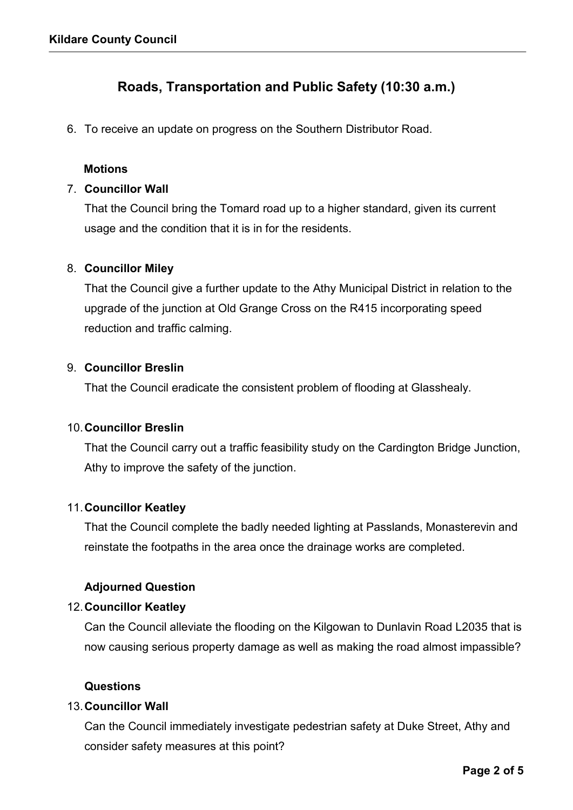# Roads, Transportation and Public Safety (10:30 a.m.)

6. To receive an update on progress on the Southern Distributor Road.

## **Motions**

## 7. Councillor Wall

That the Council bring the Tomard road up to a higher standard, given its current usage and the condition that it is in for the residents.

## 8. Councillor Miley

That the Council give a further update to the Athy Municipal District in relation to the upgrade of the junction at Old Grange Cross on the R415 incorporating speed reduction and traffic calming.

## 9. Councillor Breslin

That the Council eradicate the consistent problem of flooding at Glasshealy.

### 10.Councillor Breslin

That the Council carry out a traffic feasibility study on the Cardington Bridge Junction, Athy to improve the safety of the junction.

### 11.Councillor Keatley

That the Council complete the badly needed lighting at Passlands, Monasterevin and reinstate the footpaths in the area once the drainage works are completed.

## Adjourned Question

### 12.Councillor Keatley

Can the Council alleviate the flooding on the Kilgowan to Dunlavin Road L2035 that is now causing serious property damage as well as making the road almost impassible?

## Questions

### 13.Councillor Wall

Can the Council immediately investigate pedestrian safety at Duke Street, Athy and consider safety measures at this point?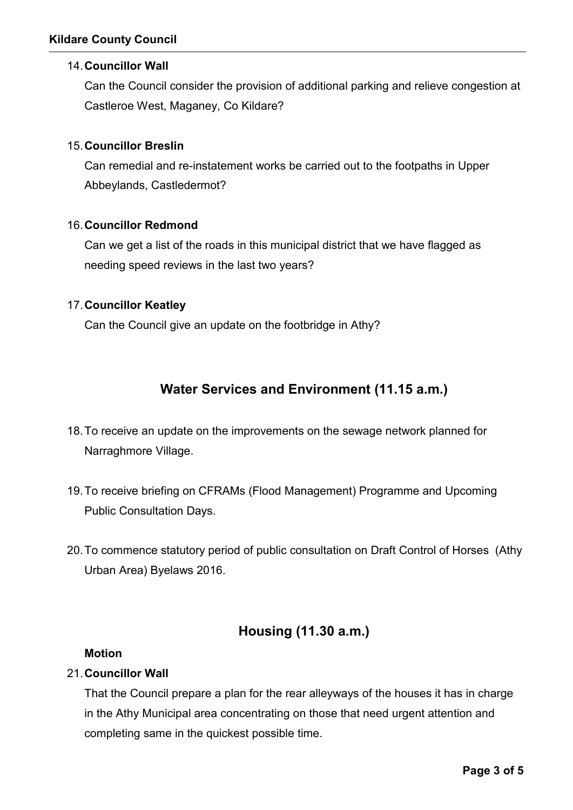## Kildare County Council

## 14.Councillor Wall

Can the Council consider the provision of additional parking and relieve congestion at Castleroe West, Maganey, Co Kildare?

## 15.Councillor Breslin

Can remedial and re-instatement works be carried out to the footpaths in Upper Abbeylands, Castledermot?

## 16.Councillor Redmond

Can we get a list of the roads in this municipal district that we have flagged as needing speed reviews in the last two years?

## 17.Councillor Keatley

Can the Council give an update on the footbridge in Athy?

# Water Services and Environment (11.15 a.m.)

- 18.To receive an update on the improvements on the sewage network planned for Narraghmore Village.
- 19.To receive briefing on CFRAMs (Flood Management) Programme and Upcoming Public Consultation Days.
- 20.To commence statutory period of public consultation on Draft Control of Horses (Athy Urban Area) Byelaws 2016.

# Housing (11.30 a.m.)

### Motion

## 21.Councillor Wall

That the Council prepare a plan for the rear alleyways of the houses it has in charge in the Athy Municipal area concentrating on those that need urgent attention and completing same in the quickest possible time.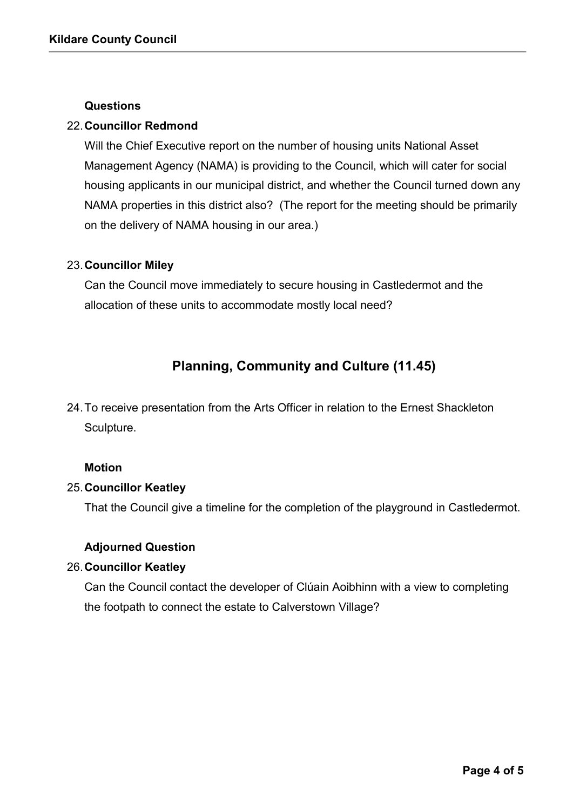#### Questions

### 22.Councillor Redmond

Will the Chief Executive report on the number of housing units National Asset Management Agency (NAMA) is providing to the Council, which will cater for social housing applicants in our municipal district, and whether the Council turned down any NAMA properties in this district also? (The report for the meeting should be primarily on the delivery of NAMA housing in our area.)

### 23.Councillor Miley

Can the Council move immediately to secure housing in Castledermot and the allocation of these units to accommodate mostly local need?

# Planning, Community and Culture (11.45)

24.To receive presentation from the Arts Officer in relation to the Ernest Shackleton Sculpture.

### Motion

### 25.Councillor Keatley

That the Council give a timeline for the completion of the playground in Castledermot.

## Adjourned Question

### 26.Councillor Keatley

Can the Council contact the developer of Clúain Aoibhinn with a view to completing the footpath to connect the estate to Calverstown Village?